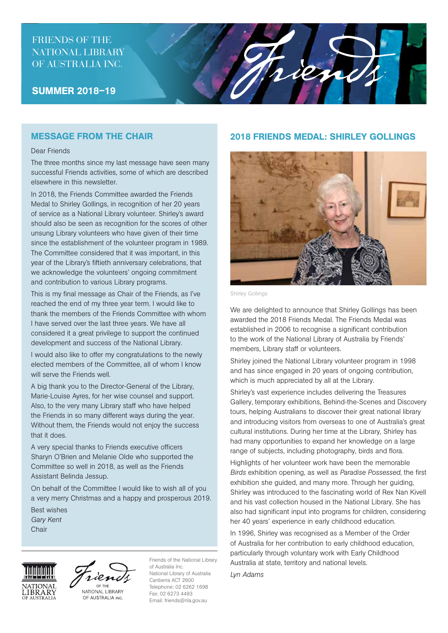# FRIENDS OF THE NATIONAL LIBRARY OF AUSTRALIA INC.

#### SUMMER 2018–19

#### MESSAGE FROM THE CHAIR

#### Dear Friends

The three months since my last message have seen many successful Friends activities, some of which are described elsewhere in this newsletter.

In 2018, the Friends Committee awarded the Friends Medal to Shirley Gollings, in recognition of her 20 years of service as a National Library volunteer. Shirley's award should also be seen as recognition for the scores of other unsung Library volunteers who have given of their time since the establishment of the volunteer program in 1989. The Committee considered that it was important, in this year of the Library's fiftieth anniversary celebrations, that we acknowledge the volunteers' ongoing commitment and contribution to various Library programs.

This is my final message as Chair of the Friends, as I've reached the end of my three year term. I would like to thank the members of the Friends Committee with whom I have served over the last three years. We have all considered it a great privilege to support the continued development and success of the National Library.

I would also like to offer my congratulations to the newly elected members of the Committee, all of whom I know will serve the Friends well.

A big thank you to the Director-General of the Library, Marie-Louise Ayres, for her wise counsel and support. Also, to the very many Library staff who have helped the Friends in so many different ways during the year. Without them, the Friends would not enjoy the success that it does.

A very special thanks to Friends executive officers Sharyn O'Brien and Melanie Olde who supported the Committee so well in 2018, as well as the Friends Assistant Belinda Jessup.

On behalf of the Committee I would like to wish all of you a very merry Christmas and a happy and prosperous 2019.

Best wishes *Gary Kent* **Chair** 





NATIONAL LIBRARY OF AUSTRALIA INC.

Friends of the National Library of Australia Inc. National Library of Australia Canberra ACT 2600 Telephone: 02 6262 1698 Fax: 02 6273 4493 Email: friends@nla.gov.au

### 2018 FRIENDS MEDAL: SHIRLEY GOLLINGS

rien



Shirley Gollings

We are delighted to announce that Shirley Gollings has been awarded the 2018 Friends Medal. The Friends Medal was established in 2006 to recognise a significant contribution to the work of the National Library of Australia by Friends' members, Library staff or volunteers.

Shirley joined the National Library volunteer program in 1998 and has since engaged in 20 years of ongoing contribution, which is much appreciated by all at the Library.

Shirley's vast experience includes delivering the Treasures Gallery, temporary exhibitions, Behind-the-Scenes and Discovery tours, helping Australians to discover their great national library and introducing visitors from overseas to one of Australia's great cultural institutions. During her time at the Library, Shirley has had many opportunities to expand her knowledge on a large range of subjects, including photography, birds and flora.

Highlights of her volunteer work have been the memorable *Birds* exhibition opening, as well as *Paradise Possessed*, the first exhibition she guided, and many more. Through her guiding, Shirley was introduced to the fascinating world of Rex Nan Kivell and his vast collection housed in the National Library. She has also had significant input into programs for children, considering her 40 years' experience in early childhood education.

In 1996, Shirley was recognised as a Member of the Order of Australia for her contribution to early childhood education, particularly through voluntary work with Early Childhood Australia at state, territory and national levels.

*Lyn Adams*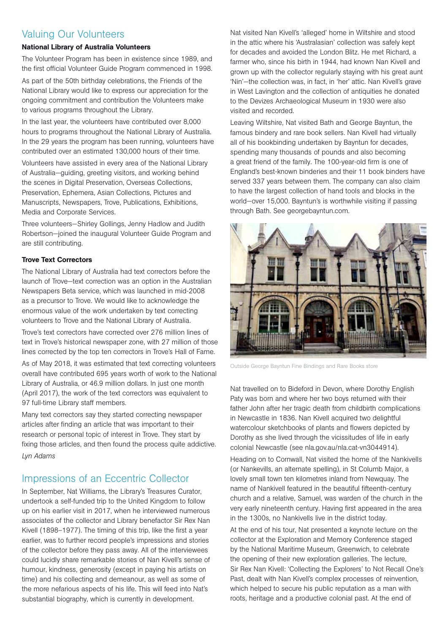# Valuing Our Volunteers

#### National Library of Australia Volunteers

The Volunteer Program has been in existence since 1989, and the first official Volunteer Guide Program commenced in 1998.

As part of the 50th birthday celebrations, the Friends of the National Library would like to express our appreciation for the ongoing commitment and contribution the Volunteers make to various programs throughout the Library.

In the last year, the volunteers have contributed over 8,000 hours to programs throughout the National Library of Australia. In the 29 years the program has been running, volunteers have contributed over an estimated 130,000 hours of their time.

Volunteers have assisted in every area of the National Library of Australia—guiding, greeting visitors, and working behind the scenes in Digital Preservation, Overseas Collections, Preservation, Ephemera, Asian Collections, Pictures and Manuscripts, Newspapers, Trove, Publications, Exhibitions, Media and Corporate Services.

Three volunteers—Shirley Gollings, Jenny Hadlow and Judith Robertson—joined the inaugural Volunteer Guide Program and are still contributing.

#### Trove Text Correctors

The National Library of Australia had text correctors before the launch of Trove—text correction was an option in the Australian Newspapers Beta service, which was launched in mid-2008 as a precursor to Trove. We would like to acknowledge the enormous value of the work undertaken by text correcting volunteers to Trove and the National Library of Australia.

Trove's text correctors have corrected over 276 million lines of text in Trove's historical newspaper zone, with 27 million of those lines corrected by the top ten correctors in Trove's Hall of Fame.

As of May 2018, it was estimated that text correcting volunteers overall have contributed 695 years worth of work to the National Library of Australia, or 46.9 million dollars. In just one month (April 2017), the work of the text correctors was equivalent to 97 full-time Library staff members.

Many text correctors say they started correcting newspaper articles after finding an article that was important to their research or personal topic of interest in Trove. They start by fixing those articles, and then found the process quite addictive. *Lyn Adams*

# Impressions of an Eccentric Collector

In September, Nat Williams, the Library's Treasures Curator, undertook a self-funded trip to the United Kingdom to follow up on his earlier visit in 2017, when he interviewed numerous associates of the collector and Library benefactor Sir Rex Nan Kivell (1898–1977). The timing of this trip, like the first a year earlier, was to further record people's impressions and stories of the collector before they pass away. All of the interviewees could lucidly share remarkable stories of Nan Kivell's sense of humour, kindness, generosity (except in paying his artists on time) and his collecting and demeanour, as well as some of the more nefarious aspects of his life. This will feed into Nat's substantial biography, which is currently in development.

Nat visited Nan Kivell's 'alleged' home in Wiltshire and stood in the attic where his 'Australasian' collection was safely kept for decades and avoided the London Blitz. He met Richard, a farmer who, since his birth in 1944, had known Nan Kivell and grown up with the collector regularly staying with his great aunt 'Nin'—the collection was, in fact, in 'her' attic. Nan Kivell's grave in West Lavington and the collection of antiquities he donated to the Devizes Archaeological Museum in 1930 were also visited and recorded.

Leaving Wiltshire, Nat visited Bath and George Bayntun, the famous bindery and rare book sellers. Nan Kivell had virtually all of his bookbinding undertaken by Bayntun for decades, spending many thousands of pounds and also becoming a great friend of the family. The 100-year-old firm is one of England's best-known binderies and their 11 book binders have served 337 years between them. The company can also claim to have the largest collection of hand tools and blocks in the world—over 15,000. Bayntun's is worthwhile visiting if passing through Bath. See georgebayntun.com.



Outside George Bayntun Fine Bindings and Rare Books store

Nat travelled on to Bideford in Devon, where Dorothy English Paty was born and where her two boys returned with their father John after her tragic death from childbirth complications in Newcastle in 1836. Nan Kivell acquired two delightful watercolour sketchbooks of plants and flowers depicted by Dorothy as she lived through the vicissitudes of life in early colonial Newcastle (see nla.gov.au/nla.cat-vn3044914).

Heading on to Cornwall, Nat visited the home of the Nankivells (or Nankevills, an alternate spelling), in St Columb Major, a lovely small town ten kilometres inland from Newquay. The name of Nankivell featured in the beautiful fifteenth-century church and a relative, Samuel, was warden of the church in the very early nineteenth century. Having first appeared in the area in the 1300s, no Nankivells live in the district today.

At the end of his tour, Nat presented a keynote lecture on the collector at the Exploration and Memory Conference staged by the National Maritime Museum, Greenwich, to celebrate the opening of their new exploration galleries. The lecture, Sir Rex Nan Kivell: 'Collecting the Explorers' to Not Recall One's Past, dealt with Nan Kivell's complex processes of reinvention, which helped to secure his public reputation as a man with roots, heritage and a productive colonial past. At the end of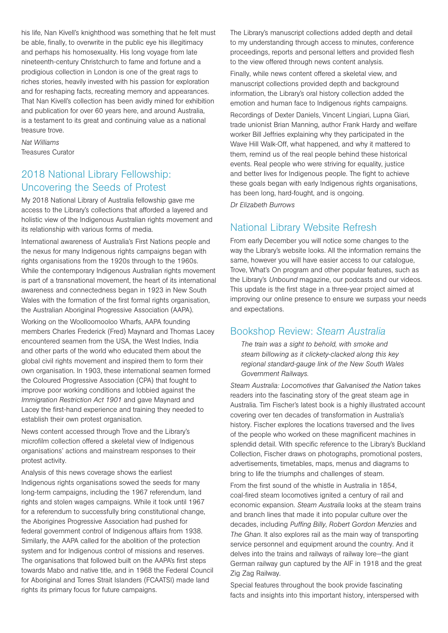his life, Nan Kivell's knighthood was something that he felt must be able, finally, to overwrite in the public eye his illegitimacy and perhaps his homosexuality. His long voyage from late nineteenth-century Christchurch to fame and fortune and a prodigious collection in London is one of the great rags to riches stories, heavily invested with his passion for exploration and for reshaping facts, recreating memory and appearances. That Nan Kivell's collection has been avidly mined for exhibition and publication for over 60 years here, and around Australia, is a testament to its great and continuing value as a national treasure trove.

*Nat Williams* Treasures Curator

# 2018 National Library Fellowship: Uncovering the Seeds of Protest

My 2018 National Library of Australia fellowship gave me access to the Library's collections that afforded a layered and holistic view of the Indigenous Australian rights movement and its relationship with various forms of media.

International awareness of Australia's First Nations people and the nexus for many Indigenous rights campaigns began with rights organisations from the 1920s through to the 1960s. While the contemporary Indigenous Australian rights movement is part of a transnational movement, the heart of its international awareness and connectedness began in 1923 in New South Wales with the formation of the first formal rights organisation, the Australian Aboriginal Progressive Association (AAPA).

Working on the Woolloomooloo Wharfs, AAPA founding members Charles Frederick (Fred) Maynard and Thomas Lacey encountered seamen from the USA, the West Indies, India and other parts of the world who educated them about the global civil rights movement and inspired them to form their own organisation. In 1903, these international seamen formed the Coloured Progressive Association (CPA) that fought to improve poor working conditions and lobbied against the *Immigration Restriction Act 1901* and gave Maynard and Lacey the first-hand experience and training they needed to establish their own protest organisation.

News content accessed through Trove and the Library's microfilm collection offered a skeletal view of Indigenous organisations' actions and mainstream responses to their protest activity.

Analysis of this news coverage shows the earliest Indigenous rights organisations sowed the seeds for many long-term campaigns, including the 1967 referendum, land rights and stolen wages campaigns. While it took until 1967 for a referendum to successfully bring constitutional change, the Aborigines Progressive Association had pushed for federal government control of Indigenous affairs from 1938. Similarly, the AAPA called for the abolition of the protection system and for Indigenous control of missions and reserves. The organisations that followed built on the AAPA's first steps towards Mabo and native title, and in 1968 the Federal Council for Aboriginal and Torres Strait Islanders (FCAATSI) made land rights its primary focus for future campaigns.

The Library's manuscript collections added depth and detail to my understanding through access to minutes, conference proceedings, reports and personal letters and provided flesh to the view offered through news content analysis.

Finally, while news content offered a skeletal view, and manuscript collections provided depth and background information, the Library's oral history collection added the emotion and human face to Indigenous rights campaigns.

Recordings of Dexter Daniels, Vincent Lingiari, Lupna Giari, trade unionist Brian Manning, author Frank Hardy and welfare worker Bill Jeffries explaining why they participated in the Wave Hill Walk-Off, what happened, and why it mattered to them, remind us of the real people behind these historical events. Real people who were striving for equality, justice and better lives for Indigenous people. The fight to achieve these goals began with early Indigenous rights organisations, has been long, hard-fought, and is ongoing.

*Dr Elizabeth Burrows*

# National Library Website Refresh

From early December you will notice some changes to the way the Library's website looks. All the information remains the same, however you will have easier access to our catalogue, Trove, What's On program and other popular features, such as the Library's *Unbound* magazine, our podcasts and our videos. This update is the first stage in a three-year project aimed at improving our online presence to ensure we surpass your needs and expectations.

# Bookshop Review: *Steam Australia*

*The train was a sight to behold, with smoke and steam billowing as it clickety-clacked along this key regional standard-gauge link of the New South Wales Government Railways.*

*Steam Australia: Locomotives that Galvanised the Nation* takes readers into the fascinating story of the great steam age in Australia. Tim Fischer's latest book is a highly illustrated account covering over ten decades of transformation in Australia's history. Fischer explores the locations traversed and the lives of the people who worked on these magnificent machines in splendid detail. With specific reference to the Library's Buckland Collection, Fischer draws on photographs, promotional posters, advertisements, timetables, maps, menus and diagrams to bring to life the triumphs and challenges of steam.

From the first sound of the whistle in Australia in 1854, coal-fired steam locomotives ignited a century of rail and economic expansion. *Steam Australia* looks at the steam trains and branch lines that made it into popular culture over the decades, including *Puffing Billy*, *Robert Gordon Menzies* and *The Ghan*. It also explores rail as the main way of transporting service personnel and equipment around the country. And it delves into the trains and railways of railway lore—the giant German railway gun captured by the AIF in 1918 and the great Zig Zag Railway.

Special features throughout the book provide fascinating facts and insights into this important history, interspersed with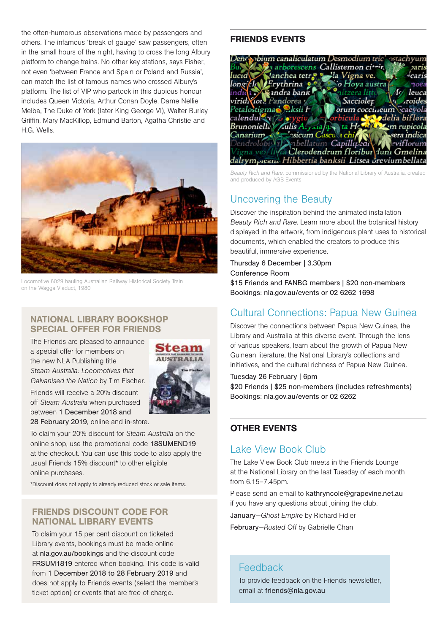the often-humorous observations made by passengers and<br> **FRIENDS EVENTS** others. The infamous 'break of gauge' saw passengers, often in the small hours of the night, having to cross the long Albury platform to change trains. No other key stations, says Fisher, not even 'between France and Spain or Poland and Russia', can match the list of famous names who crossed Albury's platform. The list of VIP who partook in this dubious honour includes Queen Victoria, Arthur Conan Doyle, Dame Nellie Melba, The Duke of York (later King George VI), Walter Burley Griffin, Mary MacKillop, Edmund Barton, Agatha Christie and H.G. Wells.



Locomotive 6029 hauling Australian Railway Historical Society Train on the Wagga Viaduct, 1980

#### NATIONAL LIBRARY BOOKSHOP SPECIAL OFFER FOR FRIENDS

The Friends are pleased to announce a special offer for members on the new NLA Publishing title *Steam Australia: Locomotives that Galvanised the Nation* by Tim Fischer.



Friends will receive a 20% discount off *Steam Australia* when purchased between 1 December 2018 and 28 February 2019, online and in-store.

To claim your 20% discount for *Steam Australia* on the online shop, use the promotional code 18SUMEND19 at the checkout. You can use this code to also apply the usual Friends 15% discount\* to other eligible online purchases.

\*Discount does not apply to already reduced stock or sale items.

### FRIENDS DISCOUNT CODE FOR NATIONAL LIBRARY EVENTS

To claim your 15 per cent discount on ticketed Library events, bookings must be made online at nla.gov.au/bookings and the discount code FRSUM1819 entered when booking. This code is valid from 1 December 2018 to 28 February 2019 and does not apply to Friends events (select the member's ticket option) or events that are free of charge.



*Beauty Rich and Rare*, commissioned by the National Library of Australia, created and produced by AGB Events

# Uncovering the Beauty

Discover the inspiration behind the animated installation *Beauty Rich and Rare*. Learn more about the botanical history displayed in the artwork, from indigenous plant uses to historical documents, which enabled the creators to produce this beautiful, immersive experience.

Thursday 6 December | 3.30pm Conference Room

\$15 Friends and FANBG members | \$20 non-members Bookings: nla.gov.au/events or 02 6262 1698

# Cultural Connections: Papua New Guinea

Discover the connections between Papua New Guinea, the Library and Australia at this diverse event. Through the lens of various speakers, learn about the growth of Papua New Guinean literature, the National Library's collections and initiatives, and the cultural richness of Papua New Guinea.

#### Tuesday 26 February | 6pm

\$20 Friends | \$25 non-members (includes refreshments) Bookings: nla.gov.au/events or 02 6262

### OTHER EVENTS

# Lake View Book Club

The Lake View Book Club meets in the Friends Lounge at the National Library on the last Tuesday of each month from 6.15–7.45pm.

Please send an email to kathryncole@grapevine.net.au if you have any questions about joining the club.

January—*Ghost Empire* by Richard Fidler

February—*Rusted Off* by Gabrielle Chan

# Feedback

To provide feedback on the Friends newsletter, email at friends@nla.gov.au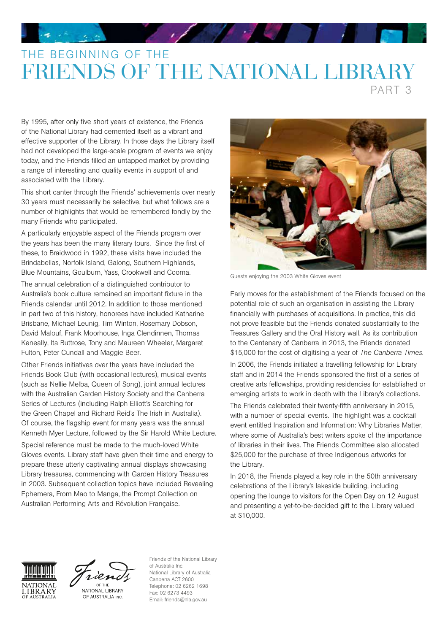# THE BEGINNING OF THE FRIENDS OF THE NATIONAL LIBRARY

PART 3

By 1995, after only five short years of existence, the Friends of the National Library had cemented itself as a vibrant and effective supporter of the Library. In those days the Library itself had not developed the large-scale program of events we enjoy today, and the Friends filled an untapped market by providing a range of interesting and quality events in support of and associated with the Library.

This short canter through the Friends' achievements over nearly 30 years must necessarily be selective, but what follows are a number of highlights that would be remembered fondly by the many Friends who participated.

A particularly enjoyable aspect of the Friends program over the years has been the many literary tours. Since the first of these, to Braidwood in 1992, these visits have included the Brindabellas, Norfolk Island, Galong, Southern Highlands, Blue Mountains, Goulburn, Yass, Crookwell and Cooma.

The annual celebration of a distinguished contributor to Australia's book culture remained an important fixture in the Friends calendar until 2012. In addition to those mentioned in part two of this history, honorees have included Katharine Brisbane, Michael Leunig, Tim Winton, Rosemary Dobson, David Malouf, Frank Moorhouse, Inga Clendinnen, Thomas Keneally, Ita Buttrose, Tony and Maureen Wheeler, Margaret Fulton, Peter Cundall and Maggie Beer.

Other Friends initiatives over the years have included the Friends Book Club (with occasional lectures), musical events (such as Nellie Melba, Queen of Song), joint annual lectures with the Australian Garden History Society and the Canberra Series of Lectures (including Ralph Elliott's Searching for the Green Chapel and Richard Reid's The Irish in Australia). Of course, the flagship event for many years was the annual Kenneth Myer Lecture, followed by the Sir Harold White Lecture. Special reference must be made to the much-loved White Gloves events. Library staff have given their time and energy to prepare these utterly captivating annual displays showcasing Library treasures, commencing with Garden History Treasures in 2003. Subsequent collection topics have included Revealing Ephemera, From Mao to Manga, the Prompt Collection on Australian Performing Arts and Révolution Française.



Guests enjoying the 2003 White Gloves event

Early moves for the establishment of the Friends focused on the potential role of such an organisation in assisting the Library financially with purchases of acquisitions. In practice, this did not prove feasible but the Friends donated substantially to the Treasures Gallery and the Oral History wall. As its contribution to the Centenary of Canberra in 2013, the Friends donated \$15,000 for the cost of digitising a year of *The Canberra Times*.

In 2006, the Friends initiated a travelling fellowship for Library staff and in 2014 the Friends sponsored the first of a series of creative arts fellowships, providing residencies for established or emerging artists to work in depth with the Library's collections.

The Friends celebrated their twenty-fifth anniversary in 2015, with a number of special events. The highlight was a cocktail event entitled Inspiration and Information: Why Libraries Matter, where some of Australia's best writers spoke of the importance of libraries in their lives. The Friends Committee also allocated \$25,000 for the purchase of three Indigenous artworks for the Library.

In 2018, the Friends played a key role in the 50th anniversary celebrations of the Library's lakeside building, including opening the lounge to visitors for the Open Day on 12 August and presenting a yet-to-be-decided gift to the Library valued at \$10,000.





OF AUSTRALIA INC.

Friends of the National Library of Australia Inc. National Library of Australia Canberra ACT 2600 Telephone: 02 6262 1698 Fax: 02 6273 4493 Email: friends@nla.gov.au